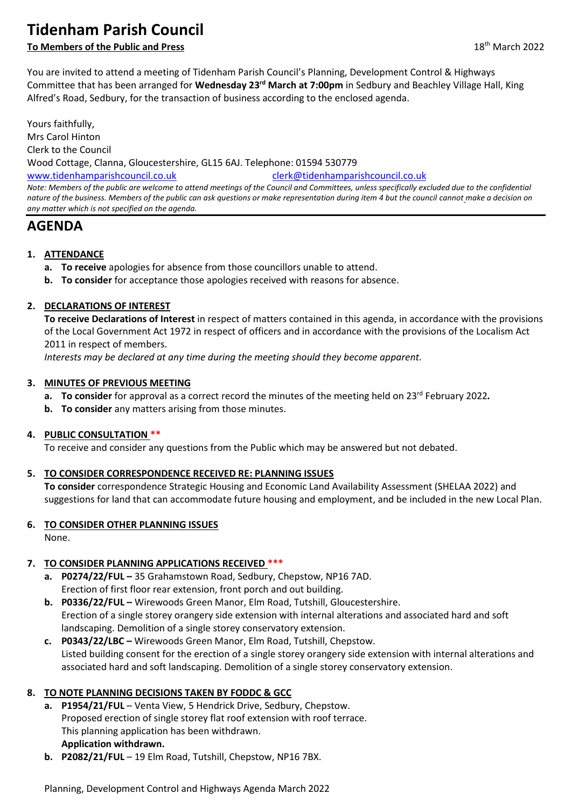# **Tidenham Parish Council**

# **To Members of the Public and Press** 18th March 2022

You are invited to attend a meeting of Tidenham Parish Council's Planning, Development Control & Highways Committee that has been arranged for **Wednesday 23rd March at 7:00pm** in Sedbury and Beachley Village Hall, King Alfred's Road, Sedbury, for the transaction of business according to the enclosed agenda.

Yours faithfully, Mrs Carol Hinton Clerk to the Council Wood Cottage, Clanna, Gloucestershire, GL15 6AJ. Telephone: 01594 530779 [www.tidenhamparishcouncil.co.uk](http://www.tidenhamparishcouncil.co.uk/) [clerk@tidenhamparishcouncil.co.uk](mailto:clerk@tidenhamparishcouncil.co.uk) *Note: Members of the public are welcome to attend meetings of the Council and Committees, unless specifically excluded due to the confidential nature of the business. Members of the public can ask questions or make representation during item 4 but the council cannot make a decision on any matter which is not specified on the agenda.*

# **AGENDA**

## **1. ATTENDANCE**

- **a. To receive** apologies for absence from those councillors unable to attend.
- **b. To consider** for acceptance those apologies received with reasons for absence.

## **2. DECLARATIONS OF INTEREST**

**To receive Declarations of Interest** in respect of matters contained in this agenda, in accordance with the provisions of the Local Government Act 1972 in respect of officers and in accordance with the provisions of the Localism Act 2011 in respect of members.

*Interests may be declared at any time during the meeting should they become apparent.*

#### **3. MINUTES OF PREVIOUS MEETING**

- **a. To consider** for approval as a correct record the minutes of the meeting held on 23<sup>rd</sup> February 2022.
- **b. To consider** any matters arising from those minutes.

#### **4. PUBLIC CONSULTATION \*\***

To receive and consider any questions from the Public which may be answered but not debated.

#### **5. TO CONSIDER CORRESPONDENCE RECEIVED RE: PLANNING ISSUES**

**To consider** correspondence Strategic Housing and Economic Land Availability Assessment (SHELAA 2022) and suggestions for land that can accommodate future housing and employment, and be included in the new Local Plan.

#### **6. TO CONSIDER OTHER PLANNING ISSUES**

None.

# **7. TO CONSIDER PLANNING APPLICATIONS RECEIVED \*\*\***

- **a. P0274/22/FUL –** 35 Grahamstown Road, Sedbury, Chepstow, NP16 7AD. Erection of first floor rear extension, front porch and out building.
- **b. P0336/22/FUL –** Wirewoods Green Manor, Elm Road, Tutshill, Gloucestershire. Erection of a single storey orangery side extension with internal alterations and associated hard and soft landscaping. Demolition of a single storey conservatory extension.
- **c. P0343/22/LBC –** Wirewoods Green Manor, Elm Road, Tutshill, Chepstow. Listed building consent for the erection of a single storey orangery side extension with internal alterations and associated hard and soft landscaping. Demolition of a single storey conservatory extension.

# **8. TO NOTE PLANNING DECISIONS TAKEN BY FODDC & GCC**

- **a. P1954/21/FUL**  Venta View, 5 Hendrick Drive, Sedbury, Chepstow. Proposed erection of single storey flat roof extension with roof terrace. This planning application has been withdrawn. **Application withdrawn.**
- **b. P2082/21/FUL**  19 Elm Road, Tutshill, Chepstow, NP16 7BX.

Planning, Development Control and Highways Agenda March 2022